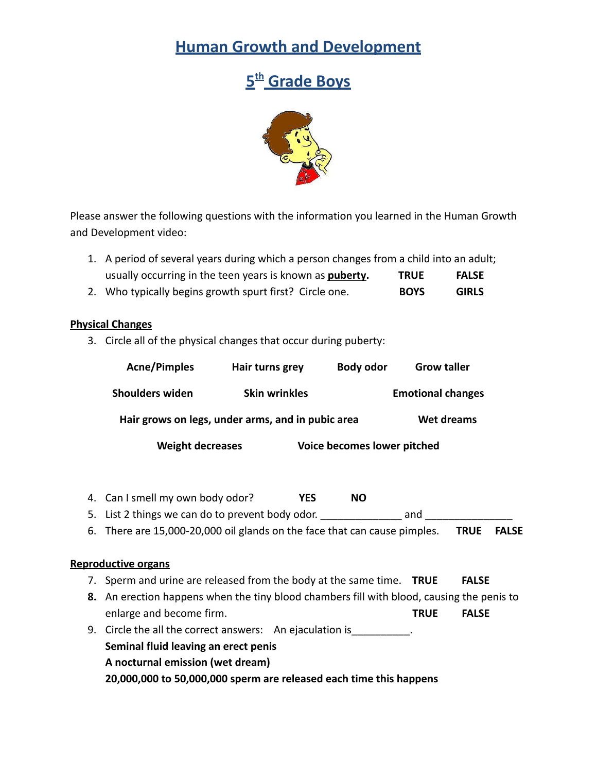## **Human Growth and Development**

# **5 th Grade Boys**



Please answer the following questions with the information you learned in the Human Growth and Development video:

| 1. A period of several years during which a person changes from a child into an adult; |             |              |
|----------------------------------------------------------------------------------------|-------------|--------------|
| usually occurring in the teen years is known as <b>puberty.</b>                        | <b>TRUE</b> | <b>FALSE</b> |

2. Who typically begins growth spurt first? Circle one. **BOYS GIRLS**

### **Physical Changes**

3. Circle all of the physical changes that occur during puberty:

| <b>Acne/Pimples</b><br>Hair turns grey                                                   |                      |     | <b>Grow taller</b><br><b>Body odor</b><br><b>Emotional changes</b> |              |            |  |
|------------------------------------------------------------------------------------------|----------------------|-----|--------------------------------------------------------------------|--------------|------------|--|
| <b>Shoulders widen</b>                                                                   | <b>Skin wrinkles</b> |     |                                                                    |              |            |  |
| Hair grows on legs, under arms, and in pubic area                                        |                      |     |                                                                    |              | Wet dreams |  |
| <b>Weight decreases</b>                                                                  |                      |     | Voice becomes lower pitched                                        |              |            |  |
| 4. Can I smell my own body odor?                                                         |                      | YES | <b>NO</b>                                                          |              |            |  |
| 5. List 2 things we can do to prevent body odor.                                         |                      |     |                                                                    | and          |            |  |
| 6. There are 15,000-20,000 oil glands on the face that can cause pimples.<br><b>TRUE</b> |                      |     |                                                                    | <b>FALSE</b> |            |  |

### **Reproductive organs**

- 7. Sperm and urine are released from the body at the same time. **TRUE FALSE**
- **8.** An erection happens when the tiny blood chambers fill with blood, causing the penis to enlarge and become firm. **TRUE** FALSE
- 9. Circle the all the correct answers: An ejaculation is **Seminal fluid leaving an erect penis A nocturnal emission (wet dream) 20,000,000 to 50,000,000 sperm are released each time this happens**